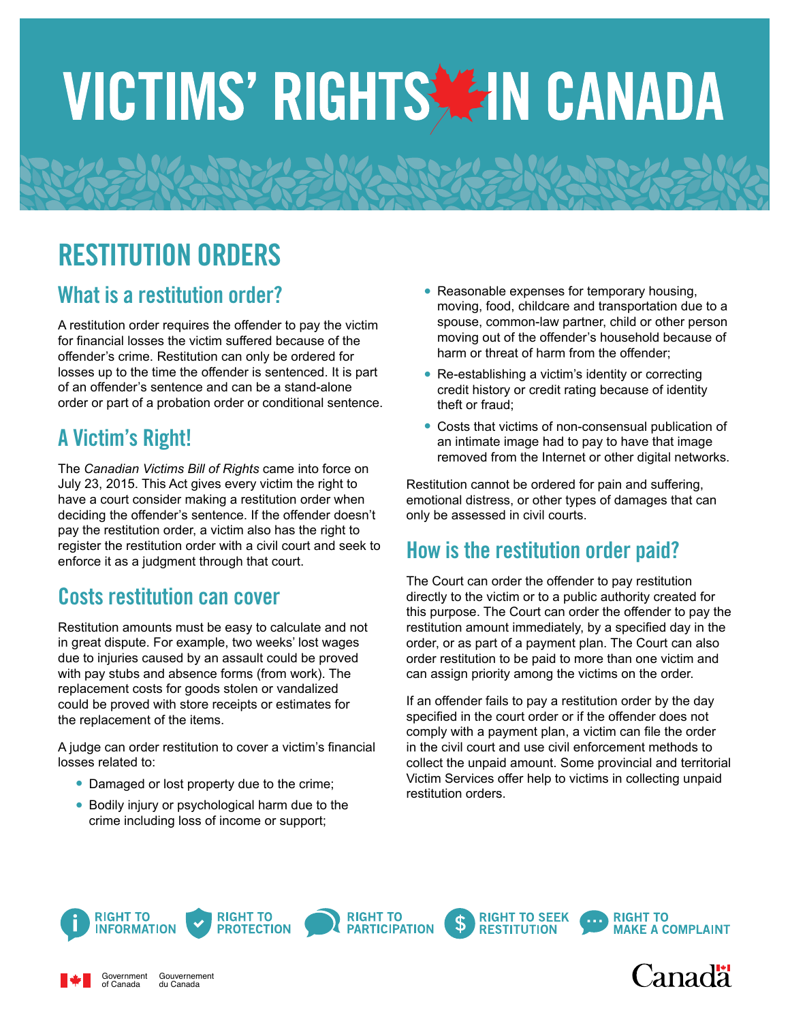# VICTIMS' RIGHTS ZIN CANADA

# RESTITUTION ORDERS

### What is a restitution order?

A restitution order requires the offender to pay the victim for financial losses the victim suffered because of the offender's crime. Restitution can only be ordered for losses up to the time the offender is sentenced. It is part of an offender's sentence and can be a stand-alone order or part of a probation order or conditional sentence.

## A Victim's Right!

Government of Canada

The *Canadian Victims Bill of Rights* came into force on July 23, 2015. This Act gives every victim the right to have a court consider making a restitution order when deciding the offender's sentence. If the offender doesn't pay the restitution order, a victim also has the right to register the restitution order with a civil court and seek to enforce it as a judgment through that court.

# Costs restitution can cover

Restitution amounts must be easy to calculate and not in great dispute. For example, two weeks' lost wages due to injuries caused by an assault could be proved with pay stubs and absence forms (from work). The replacement costs for goods stolen or vandalized could be proved with store receipts or estimates for the replacement of the items.

A judge can order restitution to cover a victim's financial losses related to:

- **•** Damaged or lost property due to the crime;
- **•** Bodily injury or psychological harm due to the crime including loss of income or support;

Gouvernement du Canada

- **•** Reasonable expenses for temporary housing, moving, food, childcare and transportation due to a spouse, common-law partner, child or other person moving out of the offender's household because of harm or threat of harm from the offender;
- Re-establishing a victim's identity or correcting credit history or credit rating because of identity theft or fraud;
- **•** Costs that victims of non-consensual publication of an intimate image had to pay to have that image removed from the Internet or other digital networks.

Restitution cannot be ordered for pain and suffering, emotional distress, or other types of damages that can only be assessed in civil courts.

### How is the restitution order paid?

The Court can order the offender to pay restitution directly to the victim or to a public authority created for this purpose. The Court can order the offender to pay the restitution amount immediately, by a specified day in the order, or as part of a payment plan. The Court can also order restitution to be paid to more than one victim and can assign priority among the victims on the order.

If an offender fails to pay a restitution order by the day specified in the court order or if the offender does not comply with a payment plan, a victim can file the order in the civil court and use civil enforcement methods to collect the unpaid amount. Some provincial and territorial Victim Services offer help to victims in collecting unpaid restitution orders.